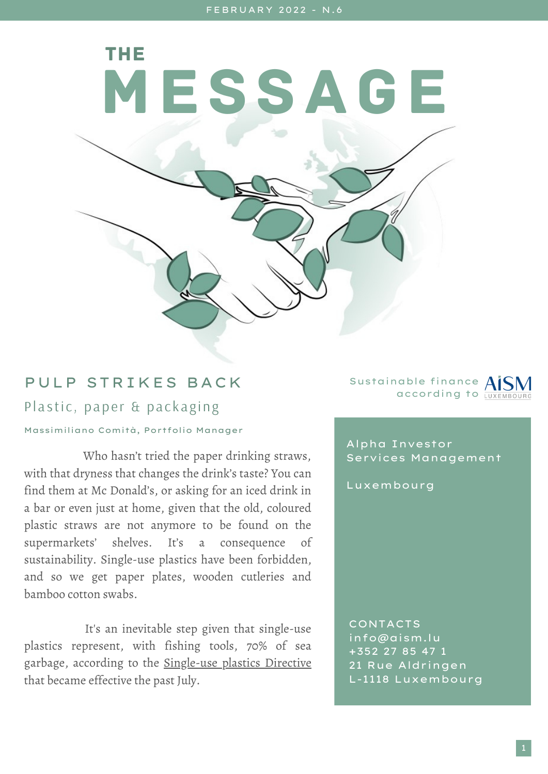MESSAGE

## PULP STRIKES BACK

THE

Plastic, paper & packaging

Massimiliano Comità, Portfolio Manager

Who hasn't tried the paper drinking straws, with that dryness that changes the drink's taste? You can find them at Mc Donald's, or asking for an iced drink in a bar or even just at home, given that the old, coloured plastic straws are not anymore to be found on the supermarkets' shelves. It's a consequence of sustainability. Single-use plastics have been forbidden, and so we get paper plates, wooden cutleries and bamboo cotton swabs.

It's an inevitable step given that single-use plastics represent, with fishing tools, 70% of sea garbage, according to the [Single-use](https://ec.europa.eu/environment/topics/plastics/single-use-plastics_en) plastics Directive that became effective the past July.

Sustainable finance according to

Alpha Investor Services Management

Luxembourg

CONTACTS info@aism.lu +352 27 85 47 1 21 Rue Aldringen L-1118 Luxembourg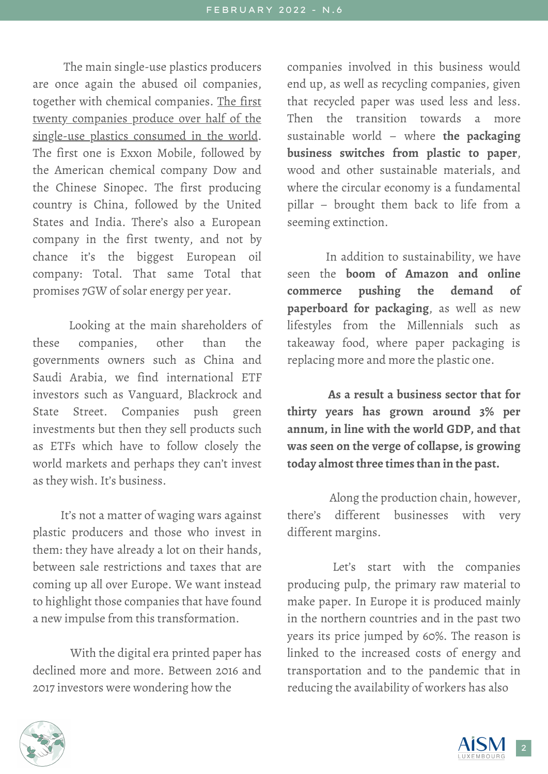The main single-use plastics producers are once again the abused oil companies, together with chemical [companies.](https://www.minderoo.org/plastic-waste-makers-index/) The first twenty companies produce over half of the single-use plastics consumed in the world. The first one is Exxon Mobile, followed by the American chemical company Dow and the Chinese Sinopec. The first producing country is China, followed by the United States and India. There's also a European company in the first twenty, and not by chance it's the biggest European oil company: Total. That same Total that promises 7GW of solar energy per year.

Looking at the main shareholders of these companies, other than the governments owners such as China and Saudi Arabia, we find international ETF investors such as Vanguard, Blackrock and State Street. Companies push green investments but then they sell products such as ETFs which have to follow closely the world markets and perhaps they can't invest as they wish. It's business.

It's not a matter of waging wars against plastic producers and those who invest in them: they have already a lot on their hands, between sale restrictions and taxes that are coming up all over Europe. We want instead to highlight those companies that have found a new impulse from this transformation.

With the digital era printed paper has declined more and more. Between 2016 and 2017 investors were wondering how the

companies involved in this business would end up, as well as recycling companies, given that recycled paper was used less and less. Then the transition towards a more sustainable world – where **the packaging business switches from plastic to paper**, wood and other sustainable materials, and where the circular economy is a fundamental pillar – brought them back to life from a seeming extinction.

In addition to sustainability, we have seen the **boom of Amazon and online commerce pushing the demand of paperboard for packaging**, as well as new lifestyles from the Millennials such as takeaway food, where paper packaging is replacing more and more the plastic one.

**As a result a business sector that for thirty years has grown around 3% per annum, in line with the world GDP, and that was seen on the verge of collapse, is growing today almost three times than in the past.**

Along the production chain, however, there's different businesses with very different margins.

Let's start with the companies producing pulp, the primary raw material to make paper. In Europe it is produced mainly in the northern countries and in the past two years its price jumped by 60%. The reason is linked to the increased costs of energy and transportation and to the pandemic that in reducing the availability of workers has also